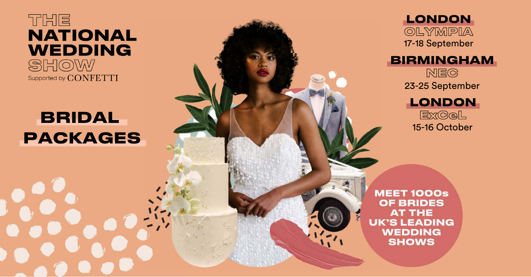

# **BRIDAL PACKAGES**





**MEET 1000s OF BRIDES AT THE UK'S LEADING WEDDING SHOWS** 

### **BIRMINGHAM**

**NEC** 23-25 September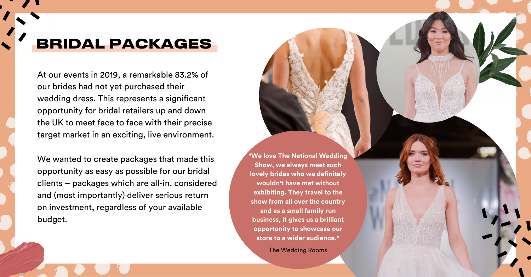At our events in 2019, a remarkable 83.2% of our brides had not yet purchased their wedding dress. This represents a significant opportunity for bridal retailers up and down the UK to meet face to face with their precise target market in an exciting, live environment.

We wanted to create packages that made this opportunity as easy as possible for our bridal clients – packages which are all-in, considered and (most importantly) deliver serious return on investment, regardless of your available budget.



**"We love The National Wedding Show, we always meet such lovely brides who we definitely wouldn't have met without exhibiting. They travel to the show from all over the country and as a small family run business, it gives us a brilliant opportunity to showcase our store to a wider audience."**

The Wedding Rooms

# **BRIDAL PACKAGES**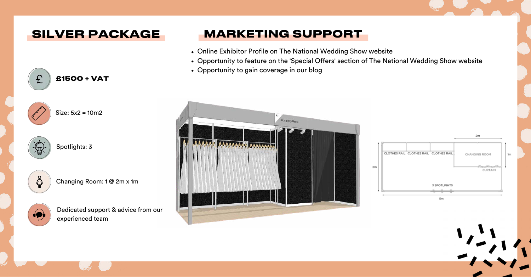## **SILVER PACKAGE**

**£1500 + VAT**







ဂ္ဂိ

£

Dedicated support & advice from our experienced team

# **MARKETING SUPPORT**

- Online Exhibitor Profile on The National Wedding Show website
- 
- Opportunity to gain coverage in our blog



Opportunity to feature on the 'Special Offers' section of The National Wedding Show website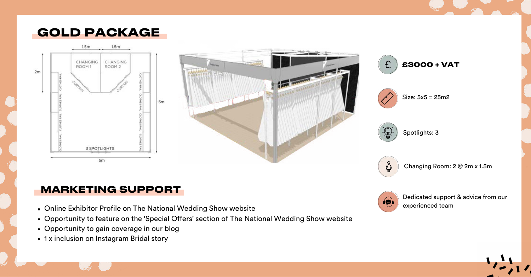







Size: 5x5 = 25m2



Changing Room: 2 @ 2m x 1.5m



- Online Exhibitor Profile on The National Wedding Show website
- Opportunity to feature on the 'Special Offers' section of The National Wedding Show website
- Opportunity to gain coverage in our blog
- 1 x inclusion on Instagram Bridal story

Spotlights: 3



Dedicated support & advice from our experienced team

### **MARKETING SUPPORT**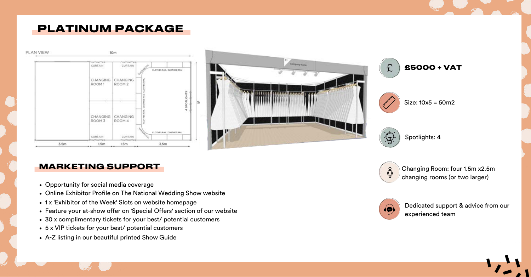## **PLATINUM PACKAGE**









Size: 10x5 = 50m2



Changing Room: four 1.5m x2.5m changing rooms (or two larger)



Spotlights: 4



Dedicated support & advice from our experienced team

### **MARKETING SUPPORT**

- Opportunity for social media coverage
- Online Exhibitor Profile on The National Wedding Show website
- 1 x 'Exhibitor of the Week' Slots on website homepage
- Feature your at-show offer on 'Special Offers' section of our website
- 30 x complimentary tickets for your best/ potential customers
- 5 x VIP tickets for your best/ potential customers
- A-Z listing in our beautiful printed Show Guide